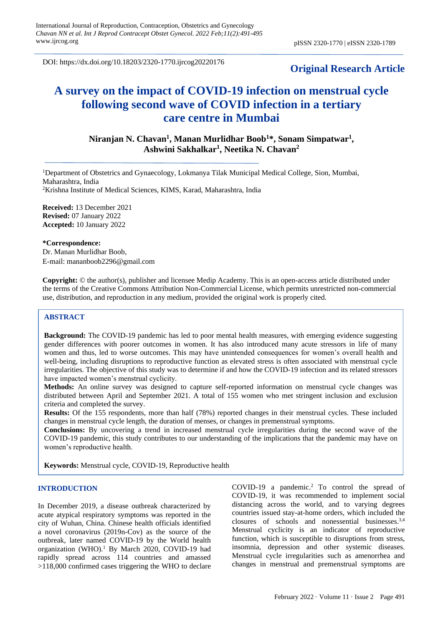DOI: https://dx.doi.org/10.18203/2320-1770.ijrcog20220176

# **Original Research Article**

# **A survey on the impact of COVID-19 infection on menstrual cycle following second wave of COVID infection in a tertiary care centre in Mumbai**

**Niranjan N. Chavan<sup>1</sup> , Manan Murlidhar Boob<sup>1</sup>\*, Sonam Simpatwar<sup>1</sup> , Ashwini Sakhalkar<sup>1</sup> , Neetika N. Chavan<sup>2</sup>**

<sup>1</sup>Department of Obstetrics and Gynaecology, Lokmanya Tilak Municipal Medical College, Sion, Mumbai, Maharashtra, India <sup>2</sup>Krishna Institute of Medical Sciences, KIMS, Karad, Maharashtra, India

**Received:** 13 December 2021 **Revised:** 07 January 2022 **Accepted:** 10 January 2022

**\*Correspondence:** Dr. Manan Murlidhar Boob, E-mail: [mananboob2296@gmail.com](mailto:mananboob2296@gmail.com)

**Copyright:** © the author(s), publisher and licensee Medip Academy. This is an open-access article distributed under the terms of the Creative Commons Attribution Non-Commercial License, which permits unrestricted non-commercial use, distribution, and reproduction in any medium, provided the original work is properly cited.

# **ABSTRACT**

**Background:** The COVID-19 pandemic has led to poor mental health measures, with emerging evidence suggesting gender differences with poorer outcomes in women. It has also introduced many acute stressors in life of many women and thus, led to worse outcomes. This may have unintended consequences for women's overall health and well-being, including disruptions to reproductive function as elevated stress is often associated with menstrual cycle irregularities. The objective of this study was to determine if and how the COVID-19 infection and its related stressors have impacted women's menstrual cyclicity.

**Methods:** An online survey was designed to capture self-reported information on menstrual cycle changes was distributed between April and September 2021. A total of 155 women who met stringent inclusion and exclusion criteria and completed the survey.

**Results:** Of the 155 respondents, more than half (78%) reported changes in their menstrual cycles. These included changes in menstrual cycle length, the duration of menses, or changes in premenstrual symptoms.

**Conclusions:** By uncovering a trend in increased menstrual cycle irregularities during the second wave of the COVID-19 pandemic, this study contributes to our understanding of the implications that the pandemic may have on women's reproductive health.

**Keywords:** Menstrual cycle, COVID-19, Reproductive health

#### **INTRODUCTION**

In December 2019, a disease outbreak characterized by acute atypical respiratory symptoms was reported in the city of Wuhan, China. Chinese health officials identified a novel coronavirus (2019n-Cov) as the source of the outbreak, later named COVID-19 by the World health organization (WHO).<sup>1</sup> By March 2020, COVID-19 had rapidly spread across 114 countries and amassed >118,000 confirmed cases triggering the WHO to declare

COVID-19 a pandemic.<sup>2</sup> To control the spread of COVID-19, it was recommended to implement social distancing across the world, and to varying degrees countries issued stay-at-home orders, which included the closures of schools and nonessential businesses. 3,4 Menstrual cyclicity is an indicator of reproductive function, which is susceptible to disruptions from stress, insomnia, depression and other systemic diseases. Menstrual cycle irregularities such as amenorrhea and changes in menstrual and premenstrual symptoms are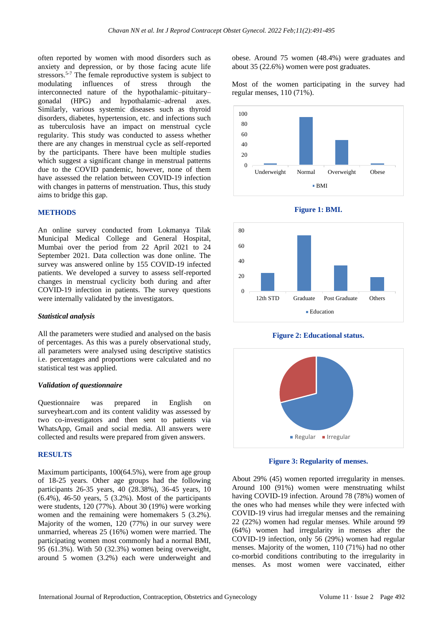often reported by women with mood disorders such as anxiety and depression, or by those facing acute life stressors.<sup>5-7</sup> The female reproductive system is subject to modulating influences of stress through the interconnected nature of the hypothalamic–pituitary– gonadal (HPG) and hypothalamic–adrenal axes. Similarly, various systemic diseases such as thyroid disorders, diabetes, hypertension, etc. and infections such as tuberculosis have an impact on menstrual cycle regularity. This study was conducted to assess whether there are any changes in menstrual cycle as self-reported by the participants. There have been multiple studies which suggest a significant change in menstrual patterns due to the COVID pandemic, however, none of them have assessed the relation between COVID-19 infection with changes in patterns of menstruation. Thus, this study aims to bridge this gap.

#### **METHODS**

An online survey conducted from Lokmanya Tilak Municipal Medical College and General Hospital, Mumbai over the period from 22 April 2021 to 24 September 2021. Data collection was done online. The survey was answered online by 155 COVID-19 infected patients. We developed a survey to assess self-reported changes in menstrual cyclicity both during and after COVID-19 infection in patients. The survey questions were internally validated by the investigators.

#### *Statistical analysis*

All the parameters were studied and analysed on the basis of percentages. As this was a purely observational study, all parameters were analysed using descriptive statistics i.e. percentages and proportions were calculated and no statistical test was applied.

#### *Validation of questionnaire*

Questionnaire was prepared in English on surveyheart.com and its content validity was assessed by two co-investigators and then sent to patients via WhatsApp, Gmail and social media. All answers were collected and results were prepared from given answers.

#### **RESULTS**

Maximum participants, 100(64.5%), were from age group of 18-25 years. Other age groups had the following participants 26-35 years, 40 (28.38%), 36-45 years, 10 (6.4%), 46-50 years, 5 (3.2%). Most of the participants were students, 120 (77%). About 30 (19%) were working women and the remaining were homemakers 5 (3.2%). Majority of the women, 120 (77%) in our survey were unmarried, whereas 25 (16%) women were married. The participating women most commonly had a normal BMI, 95 (61.3%). With 50 (32.3%) women being overweight, around 5 women (3.2%) each were underweight and obese. Around 75 women (48.4%) were graduates and about 35 (22.6%) women were post graduates.

Most of the women participating in the survey had regular menses, 110 (71%).











**Figure 3: Regularity of menses.**

About 29% (45) women reported irregularity in menses. Around 100 (91%) women were menstruating whilst having COVID-19 infection. Around 78 (78%) women of the ones who had menses while they were infected with COVID-19 virus had irregular menses and the remaining 22 (22%) women had regular menses. While around 99 (64%) women had irregularity in menses after the COVID-19 infection, only 56 (29%) women had regular menses. Majority of the women, 110 (71%) had no other co-morbid conditions contributing to the irregularity in menses. As most women were vaccinated, either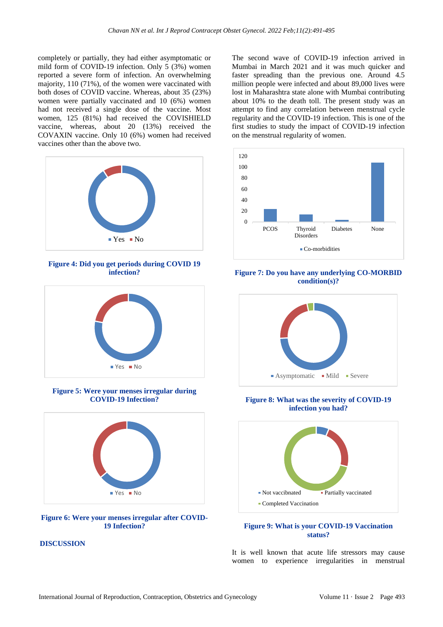completely or partially, they had either asymptomatic or mild form of COVID-19 infection. Only 5 (3%) women reported a severe form of infection. An overwhelming majority, 110 (71%), of the women were vaccinated with both doses of COVID vaccine. Whereas, about 35 (23%) women were partially vaccinated and 10 (6%) women had not received a single dose of the vaccine. Most women, 125 (81%) had received the COVISHIELD vaccine, whereas, about 20 (13%) received the COVAXIN vaccine. Only 10 (6%) women had received vaccines other than the above two.



**Figure 4: Did you get periods during COVID 19 infection?**



**Figure 5: Were your menses irregular during COVID-19 Infection?**



#### **Figure 6: Were your menses irregular after COVID-19 Infection?**

# **DISCUSSION**

The second wave of COVID-19 infection arrived in Mumbai in March 2021 and it was much quicker and faster spreading than the previous one. Around 4.5 million people were infected and about 89,000 lives were lost in Maharashtra state alone with Mumbai contributing about 10% to the death toll. The present study was an attempt to find any correlation between menstrual cycle regularity and the COVID-19 infection. This is one of the first studies to study the impact of COVID-19 infection on the menstrual regularity of women.



**Figure 7: Do you have any underlying CO-MORBID condition(s)?**



**Figure 8: What was the severity of COVID-19 infection you had?**



# **Figure 9: What is your COVID-19 Vaccination status?**

It is well known that acute life stressors may cause women to experience irregularities in menstrual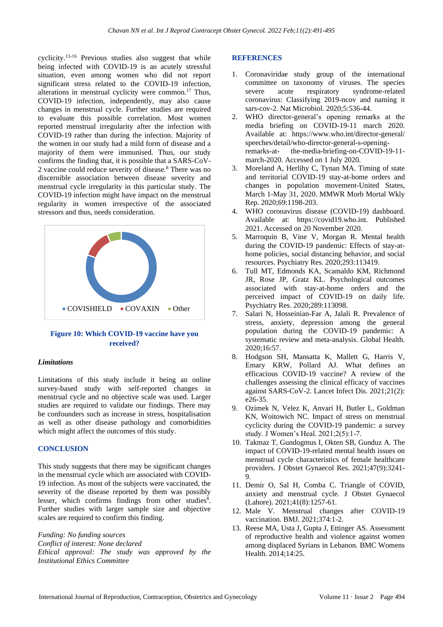cyclicity.13-16 Previous studies also suggest that while being infected with COVID-19 is an acutely stressful situation, even among women who did not report significant stress related to the COVID-19 infection, alterations in menstrual cyclicity were common. <sup>17</sup> Thus, COVID-19 infection, independently, may also cause changes in menstrual cycle. Further studies are required to evaluate this possible correlation. Most women reported menstrual irregularity after the infection with COVID-19 rather than during the infection. Majority of the women in our study had a mild form of disease and a majority of them were immunised. Thus, our study confirms the finding that, it is possible that a SARS-CoV-2 vaccine could reduce severity of disease. <sup>8</sup> There was no discernible association between disease severity and menstrual cycle irregularity in this particular study. The COVID-19 infection might have impact on the menstrual regularity in women irrespective of the associated stressors and thus, needs consideration.



# **Figure 10: Which COVID-19 vaccine have you received?**

#### *Limitations*

Limitations of this study include it being an online survey-based study with self-reported changes in menstrual cycle and no objective scale was used. Larger studies are required to validate our findings. There may be confounders such as increase in stress, hospitalisation as well as other disease pathology and comorbidities which might affect the outcomes of this study.

#### **CONCLUSION**

This study suggests that there may be significant changes in the menstrual cycle which are associated with COVID-19 infection. As most of the subjects were vaccinated, the severity of the disease reported by them was possibly lesser, which confirms findings from other studies<sup>8</sup>. Further studies with larger sample size and objective scales are required to confirm this finding.

*Funding: No funding sources Conflict of interest: None declared Ethical approval: The study was approved by the Institutional Ethics Committee*

#### **REFERENCES**

- 1. Coronaviridae study group of the international committee on taxonomy of viruses. The species severe acute respiratory syndrome-related coronavirus: Classifying 2019-ncov and naming it sars-cov-2. Nat Microbiol. 2020;5:536-44.
- 2. WHO director-general's opening remarks at the media briefing on COVID-19-11 march 2020. Available at: https://www.who.int/director-general/ speeches/detail/who-director-general-s-openingremarks-at- the-media-briefing-on-COVID-19-11 march-2020. Accessed on 1 July 2020.
- 3. Moreland A, Herlihy C, Tynan MA. Timing of state and territorial COVID-19 stay-at-home orders and changes in population movement-United States, March 1-May 31, 2020. MMWR Morb Mortal Wkly Rep. 2020;69:1198-203.
- 4. WHO coronavirus disease (COVID-19) dashboard. Available at: https://covid19.who.int. Published 2021. Accessed on 20 November 2020.
- 5. Marroquin B, Vine V, Morgan R. Mental health during the COVID-19 pandemic: Effects of stay-athome policies, social distancing behavior, and social resources. Psychiatry Res. 2020;293:113419.
- 6. Tull MT, Edmonds KA, Scamaldo KM, Richmond JR, Rose JP, Gratz KL. Psychological outcomes associated with stay-at-home orders and the perceived impact of COVID-19 on daily life. Psychiatry Res. 2020;289:113098.
- 7. Salari N, Hosseinian-Far A, Jalali R. Prevalence of stress, anxiety, depression among the general population during the COVID-19 pandemic: A systematic review and meta-analysis. Global Health. 2020;16:57.
- 8. Hodgson SH, Mansatta K, Mallett G, Harris V, Emary KRW, Pollard AJ. What defines an efficacious COVID-19 vaccine? A review of the challenges assessing the clinical efficacy of vaccines against SARS-CoV-2. Lancet Infect Dis. 2021;21(2): e26-35.
- 9. Ozimek N, Velez K, Anvari H, Butler L, Goldman KN, Woitowich NC. Impact of stress on menstrual cyclicity during the COVID-19 pandemic: a survey study. J Women's Heal. 2021;2(5):1-7.
- 10. Takmaz T, Gundogmus I, Okten SB, Gunduz A. The impact of COVID-19-related mental health issues on menstrual cycle characteristics of female healthcare providers. J Obstet Gynaecol Res. 2021;47(9):3241- 9.
- 11. Demir O, Sal H, Comba C. Triangle of COVID, anxiety and menstrual cycle. J Obstet Gynaecol (Lahore). 2021;41(8):1257-61.
- 12. Male V. Menstrual changes after COVID-19 vaccination. BMJ. 2021;374:1-2.
- 13. Reese MA, Usta J, Gupta J, Ettinger AS. Assessment of reproductive health and violence against women among displaced Syrians in Lebanon. BMC Womens Health. 2014;14:25.